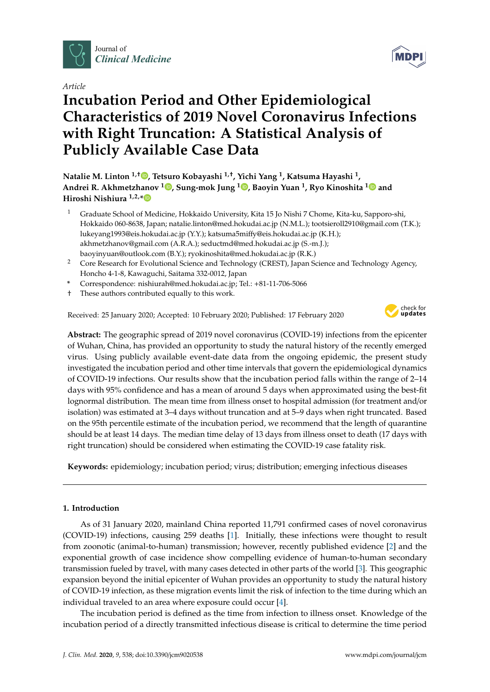

*Article*

# **Incubation Period and Other Epidemiological Characteristics of 2019 Novel Coronavirus Infections with Right Truncation: A Statistical Analysis of Publicly Available Case Data**

**Natalie M. Linton 1,**† **[,](https://orcid.org/0000-0002-5464-0076) Tetsuro Kobayashi 1,**† **, Yichi Yang <sup>1</sup> , Katsuma Hayashi <sup>1</sup> , Andrei R. Akhmetzhanov <sup>1</sup> [,](https://orcid.org/0000-0003-3269-7351) Sung-mok Jung <sup>1</sup> [,](https://orcid.org/0000-0002-0787-4515) Baoyin Yuan <sup>1</sup> , Ryo Kinoshita [1](https://orcid.org/0000-0002-0116-4598) and Hiroshi Nishiura 1,2,[\\*](https://orcid.org/0000-0003-0941-8537)**

- <sup>1</sup> Graduate School of Medicine, Hokkaido University, Kita 15 Jo Nishi 7 Chome, Kita-ku, Sapporo-shi, Hokkaido 060-8638, Japan; natalie.linton@med.hokudai.ac.jp (N.M.L.); tootsieroll2910@gmail.com (T.K.); lukeyang1993@eis.hokudai.ac.jp (Y.Y.); katsuma5miffy@eis.hokudai.ac.jp (K.H.); akhmetzhanov@gmail.com (A.R.A.); seductmd@med.hokudai.ac.jp (S.-m.J.); baoyinyuan@outlook.com (B.Y.); ryokinoshita@med.hokudai.ac.jp (R.K.)
- <sup>2</sup> Core Research for Evolutional Science and Technology (CREST), Japan Science and Technology Agency, Honcho 4-1-8, Kawaguchi, Saitama 332-0012, Japan
- **\*** Correspondence: nishiurah@med.hokudai.ac.jp; Tel.: +81-11-706-5066
- † These authors contributed equally to this work.

Received: 25 January 2020; Accepted: 10 February 2020; Published: 17 February 2020



**Abstract:** The geographic spread of 2019 novel coronavirus (COVID-19) infections from the epicenter of Wuhan, China, has provided an opportunity to study the natural history of the recently emerged virus. Using publicly available event-date data from the ongoing epidemic, the present study investigated the incubation period and other time intervals that govern the epidemiological dynamics of COVID-19 infections. Our results show that the incubation period falls within the range of 2–14 days with 95% confidence and has a mean of around 5 days when approximated using the best-fit lognormal distribution. The mean time from illness onset to hospital admission (for treatment and/or isolation) was estimated at 3–4 days without truncation and at 5–9 days when right truncated. Based on the 95th percentile estimate of the incubation period, we recommend that the length of quarantine should be at least 14 days. The median time delay of 13 days from illness onset to death (17 days with right truncation) should be considered when estimating the COVID-19 case fatality risk.

**Keywords:** epidemiology; incubation period; virus; distribution; emerging infectious diseases

# **1. Introduction**

As of 31 January 2020, mainland China reported 11,791 confirmed cases of novel coronavirus (COVID-19) infections, causing 259 deaths [\[1\]](#page-7-0). Initially, these infections were thought to result from zoonotic (animal-to-human) transmission; however, recently published evidence [\[2\]](#page-7-1) and the exponential growth of case incidence show compelling evidence of human-to-human secondary transmission fueled by travel, with many cases detected in other parts of the world [\[3\]](#page-7-2). This geographic expansion beyond the initial epicenter of Wuhan provides an opportunity to study the natural history of COVID-19 infection, as these migration events limit the risk of infection to the time during which an individual traveled to an area where exposure could occur [\[4\]](#page-7-3).

The incubation period is defined as the time from infection to illness onset. Knowledge of the incubation period of a directly transmitted infectious disease is critical to determine the time period

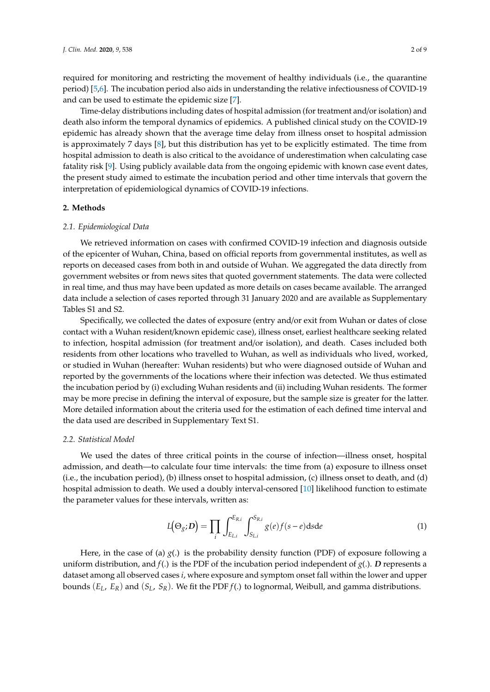required for monitoring and restricting the movement of healthy individuals (i.e., the quarantine period) [\[5](#page-7-4)[,6\]](#page-7-5). The incubation period also aids in understanding the relative infectiousness of COVID-19 and can be used to estimate the epidemic size [\[7\]](#page-7-6).

Time-delay distributions including dates of hospital admission (for treatment and/or isolation) and death also inform the temporal dynamics of epidemics. A published clinical study on the COVID-19 epidemic has already shown that the average time delay from illness onset to hospital admission is approximately 7 days [\[8\]](#page-7-7), but this distribution has yet to be explicitly estimated. The time from hospital admission to death is also critical to the avoidance of underestimation when calculating case fatality risk [\[9\]](#page-7-8). Using publicly available data from the ongoing epidemic with known case event dates, the present study aimed to estimate the incubation period and other time intervals that govern the interpretation of epidemiological dynamics of COVID-19 infections.

#### **2. Methods**

#### *2.1. Epidemiological Data*

We retrieved information on cases with confirmed COVID-19 infection and diagnosis outside of the epicenter of Wuhan, China, based on official reports from governmental institutes, as well as reports on deceased cases from both in and outside of Wuhan. We aggregated the data directly from government websites or from news sites that quoted government statements. The data were collected in real time, and thus may have been updated as more details on cases became available. The arranged data include a selection of cases reported through 31 January 2020 and are available as Supplementary Tables S1 and S2.

Specifically, we collected the dates of exposure (entry and/or exit from Wuhan or dates of close contact with a Wuhan resident/known epidemic case), illness onset, earliest healthcare seeking related to infection, hospital admission (for treatment and/or isolation), and death. Cases included both residents from other locations who travelled to Wuhan, as well as individuals who lived, worked, or studied in Wuhan (hereafter: Wuhan residents) but who were diagnosed outside of Wuhan and reported by the governments of the locations where their infection was detected. We thus estimated the incubation period by (i) excluding Wuhan residents and (ii) including Wuhan residents. The former may be more precise in defining the interval of exposure, but the sample size is greater for the latter. More detailed information about the criteria used for the estimation of each defined time interval and the data used are described in Supplementary Text S1.

#### *2.2. Statistical Model*

We used the dates of three critical points in the course of infection—illness onset, hospital admission, and death—to calculate four time intervals: the time from (a) exposure to illness onset (i.e., the incubation period), (b) illness onset to hospital admission, (c) illness onset to death, and (d) hospital admission to death. We used a doubly interval-censored [\[10\]](#page-7-9) likelihood function to estimate the parameter values for these intervals, written as:

$$
L(\Theta_{g};\mathbf{D}) = \prod_{i} \int_{E_{Li}}^{E_{R,i}} \int_{S_{Li}}^{S_{R,i}} g(e) f(s-e) ds de \tag{1}
$$

Here, in the case of (a)  $g(.)$  is the probability density function (PDF) of exposure following a uniform distribution, and  $f(.)$  is the PDF of the incubation period independent of  $g(.)$ . *D* represents a dataset among all observed cases *i*, where exposure and symptom onset fall within the lower and upper bounds (*EL*, *ER*) and (*SL*, *SR*). We fit the PDF *f*(.) to lognormal, Weibull, and gamma distributions.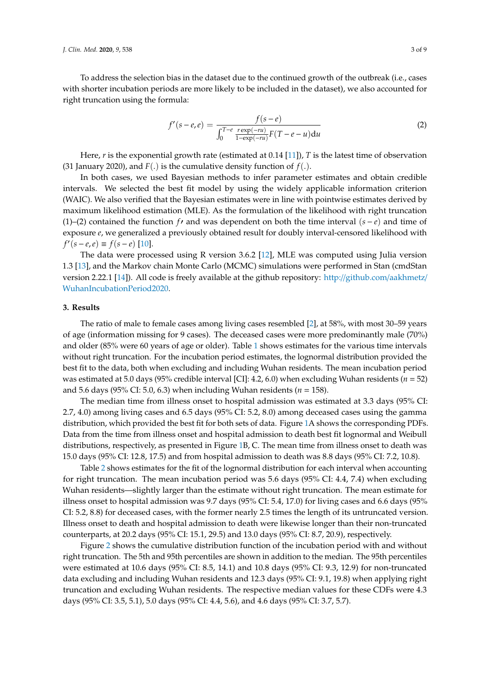To address the selection bias in the dataset due to the continued growth of the outbreak (i.e., cases with shorter incubation periods are more likely to be included in the dataset), we also accounted for right truncation using the formula:

$$
f'(s - e, e) = \frac{f(s - e)}{\int_0^{T - e} \frac{r \exp(-ru)}{1 - \exp(-ru)} F(T - e - u) du}
$$
(2)

Here, *r* is the exponential growth rate (estimated at 0.14 [\[11\]](#page-7-10)), *T* is the latest time of observation (31 January 2020), and  $F(.)$  is the cumulative density function of  $f(.)$ .

In both cases, we used Bayesian methods to infer parameter estimates and obtain credible intervals. We selected the best fit model by using the widely applicable information criterion (WAIC). We also verified that the Bayesian estimates were in line with pointwise estimates derived by maximum likelihood estimation (MLE). As the formulation of the likelihood with right truncation (1)–(2) contained the function *f*<sup> $0$ </sup> and was dependent on both the time interval ( $s - e$ ) and time of exposure *e*, we generalized a previously obtained result for doubly interval-censored likelihood with  $f'(\overline{s} - e, e) \equiv f(\overline{s} - e)$  [\[10\]](#page-7-9).

The data were processed using R version 3.6.2 [\[12\]](#page-7-11), MLE was computed using Julia version 1.3 [\[13\]](#page-7-12), and the Markov chain Monte Carlo (MCMC) simulations were performed in Stan (cmdStan version 2.22.1 [\[14\]](#page-7-13)). All code is freely available at the github repository: http://[github.com](http://github.com/aakhmetz/WuhanIncubationPeriod2020)/aakhmetz/ [WuhanIncubationPeriod2020.](http://github.com/aakhmetz/WuhanIncubationPeriod2020)

### **3. Results**

The ratio of male to female cases among living cases resembled [\[2\]](#page-7-1), at 58%, with most 30–59 years of age (information missing for 9 cases). The deceased cases were more predominantly male (70%) and older (85% were 60 years of age or older). Table [1](#page-3-0) shows estimates for the various time intervals without right truncation. For the incubation period estimates, the lognormal distribution provided the best fit to the data, both when excluding and including Wuhan residents. The mean incubation period was estimated at 5.0 days (95% credible interval [CI]: 4.2, 6.0) when excluding Wuhan residents (*n* = 52) and 5.6 days (95% CI: 5.0, 6.3) when including Wuhan residents (*n* = 158).

The median time from illness onset to hospital admission was estimated at 3.3 days (95% CI: 2.7, 4.0) among living cases and 6.5 days (95% CI: 5.2, 8.0) among deceased cases using the gamma distribution, which provided the best fit for both sets of data. Figure [1A](#page-5-0) shows the corresponding PDFs. Data from the time from illness onset and hospital admission to death best fit lognormal and Weibull distributions, respectively, as presented in Figure [1B](#page-5-0), C. The mean time from illness onset to death was 15.0 days (95% CI: 12.8, 17.5) and from hospital admission to death was 8.8 days (95% CI: 7.2, 10.8).

Table [2](#page-4-0) shows estimates for the fit of the lognormal distribution for each interval when accounting for right truncation. The mean incubation period was 5.6 days (95% CI: 4.4, 7.4) when excluding Wuhan residents—slightly larger than the estimate without right truncation. The mean estimate for illness onset to hospital admission was 9.7 days (95% CI: 5.4, 17.0) for living cases and 6.6 days (95% CI: 5.2, 8.8) for deceased cases, with the former nearly 2.5 times the length of its untruncated version. Illness onset to death and hospital admission to death were likewise longer than their non-truncated counterparts, at 20.2 days (95% CI: 15.1, 29.5) and 13.0 days (95% CI: 8.7, 20.9), respectively.

Figure [2](#page-5-1) shows the cumulative distribution function of the incubation period with and without right truncation. The 5th and 95th percentiles are shown in addition to the median. The 95th percentiles were estimated at 10.6 days (95% CI: 8.5, 14.1) and 10.8 days (95% CI: 9.3, 12.9) for non-truncated data excluding and including Wuhan residents and 12.3 days (95% CI: 9.1, 19.8) when applying right truncation and excluding Wuhan residents. The respective median values for these CDFs were 4.3 days (95% CI: 3.5, 5.1), 5.0 days (95% CI: 4.4, 5.6), and 4.6 days (95% CI: 3.7, 5.7).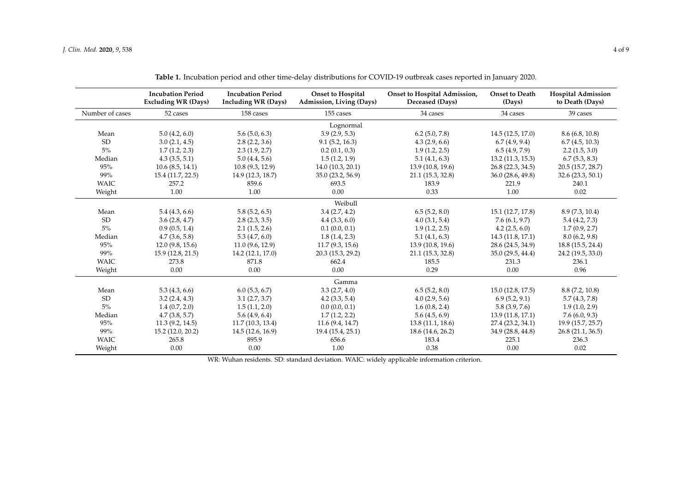|                 | <b>Incubation Period</b><br><b>Excluding WR (Days)</b> | <b>Incubation Period</b><br><b>Including WR (Days)</b> | <b>Onset to Hospital</b><br>Admission, Living (Days) | Onset to Hospital Admission,<br>Deceased (Days) | <b>Onset to Death</b><br>(Days) | <b>Hospital Admission</b><br>to Death (Days) |  |  |
|-----------------|--------------------------------------------------------|--------------------------------------------------------|------------------------------------------------------|-------------------------------------------------|---------------------------------|----------------------------------------------|--|--|
| Number of cases | 52 cases                                               | 158 cases                                              | 155 cases                                            | 34 cases                                        | 34 cases                        | 39 cases                                     |  |  |
| Lognormal       |                                                        |                                                        |                                                      |                                                 |                                 |                                              |  |  |
| Mean            | 5.0(4.2, 6.0)                                          | 5.6(5.0, 6.3)                                          | 3.9(2.9, 5.3)                                        | $6.2$ (5.0, 7.8)                                | 14.5(12.5, 17.0)                | 8.6(6.8, 10.8)                               |  |  |
| <b>SD</b>       | 3.0(2.1, 4.5)                                          | 2.8(2.2, 3.6)                                          | 9.1(5.2, 16.3)                                       | 4.3(2.9, 6.6)                                   | 6.7(4.9, 9.4)                   | 6.7(4.5, 10.3)                               |  |  |
| $5\%$           | 1.7(1.2, 2.3)                                          | 2.3(1.9, 2.7)                                          | 0.2(0.1, 0.3)                                        | 1.9(1.2, 2.5)                                   | 6.5(4.9, 7.9)                   | 2.2(1.5, 3.0)                                |  |  |
| Median          | 4.3(3.5, 5.1)                                          | 5.0(4.4, 5.6)                                          | 1.5(1.2, 1.9)                                        | 5.1(4.1, 6.3)                                   | 13.2 (11.3, 15.3)               | 6.7(5.3, 8.3)                                |  |  |
| 95%             | 10.6(8.5, 14.1)                                        | 10.8(9.3, 12.9)                                        | 14.0 (10.3, 20.1)                                    | 13.9 (10.8, 19.6)                               | 26.8 (22.3, 34.5)               | 20.5 (15.7, 28.7)                            |  |  |
| 99%             | 15.4 (11.7, 22.5)                                      | 14.9 (12.3, 18.7)                                      | 35.0 (23.2, 56.9)                                    | 21.1 (15.3, 32.8)                               | 36.0 (28.6, 49.8)               | 32.6(23.3, 50.1)                             |  |  |
| <b>WAIC</b>     | 257.2                                                  | 859.6                                                  | 693.5                                                | 183.9                                           | 221.9                           | 240.1                                        |  |  |
| Weight          | 1.00                                                   | 1.00                                                   | 0.00                                                 | 0.33                                            | 1.00                            | 0.02                                         |  |  |
| Weibull         |                                                        |                                                        |                                                      |                                                 |                                 |                                              |  |  |
| Mean            | 5.4(4.3, 6.6)                                          | 5.8(5.2, 6.5)                                          | 3.4(2.7, 4.2)                                        | 6.5(5.2, 8.0)                                   | 15.1 (12.7, 17.8)               | 8.9 (7.3, 10.4)                              |  |  |
| <b>SD</b>       | 3.6(2.8, 4.7)                                          | 2.8(2.3, 3.5)                                          | 4.4(3.3, 6.0)                                        | 4.0(3.1, 5.4)                                   | 7.6(6.1, 9.7)                   | 5.4(4.2, 7.3)                                |  |  |
| $5\%$           | 0.9(0.5, 1.4)                                          | 2.1(1.5, 2.6)                                          | 0.1(0.0, 0.1)                                        | 1.9(1.2, 2.5)                                   | 4.2(2.5, 6.0)                   | 1.7(0.9, 2.7)                                |  |  |
| Median          | 4.7(3.6, 5.8)                                          | 5.3(4.7, 6.0)                                          | 1.8(1.4, 2.3)                                        | 5.1(4.1, 6.3)                                   | 14.3 (11.8, 17.1)               | 8.0(6.2, 9.8)                                |  |  |
| 95%             | 12.0(9.8, 15.6)                                        | 11.0(9.6, 12.9)                                        | 11.7(9.3, 15.6)                                      | 13.9 (10.8, 19.6)                               | 28.6 (24.5, 34.9)               | 18.8(15.5, 24.4)                             |  |  |
| 99%             | 15.9 (12.8, 21.5)                                      | 14.2 (12.1, 17.0)                                      | 20.3 (15.3, 29.2)                                    | 21.1 (15.3, 32.8)                               | 35.0 (29.5, 44.4)               | 24.2 (19.5, 33.0)                            |  |  |
| <b>WAIC</b>     | 273.8                                                  | 871.8                                                  | 662.4                                                | 185.5                                           | 231.3                           | 236.1                                        |  |  |
| Weight          | 0.00                                                   | 0.00                                                   | 0.00                                                 | 0.29                                            | 0.00                            | 0.96                                         |  |  |
| Gamma           |                                                        |                                                        |                                                      |                                                 |                                 |                                              |  |  |
| Mean            | 5.3(4.3, 6.6)                                          | 6.0(5.3, 6.7)                                          | 3.3(2.7, 4.0)                                        | 6.5(5.2, 8.0)                                   | 15.0 (12.8, 17.5)               | 8.8(7.2, 10.8)                               |  |  |
| <b>SD</b>       | 3.2(2.4, 4.3)                                          | 3.1(2.7, 3.7)                                          | 4.2(3.3, 5.4)                                        | 4.0(2.9, 5.6)                                   | 6.9(5.2, 9.1)                   | 5.7(4.3, 7.8)                                |  |  |
| $5\%$           | 1.4(0.7, 2.0)                                          | 1.5(1.1, 2.0)                                          | 0.0(0.0, 0.1)                                        | 1.6(0.8, 2.4)                                   | 5.8(3.9, 7.6)                   | 1.9(1.0, 2.9)                                |  |  |
| Median          | 4.7(3.8, 5.7)                                          | 5.6(4.9, 6.4)                                          | 1.7(1.2, 2.2)                                        | 5.6(4.5, 6.9)                                   | 13.9 (11.8, 17.1)               | 7.6(6.0, 9.3)                                |  |  |
| 95%             | 11.3(9.2, 14.5)                                        | 11.7(10.3, 13.4)                                       | 11.6(9.4, 14.7)                                      | 13.8 (11.1, 18.6)                               | 27.4 (23.2, 34.1)               | 19.9 (15.7, 25.7)                            |  |  |
| 99%             | 15.2 (12.0, 20.2)                                      | 14.5 (12.6, 16.9)                                      | 19.4 (15.4, 25.1)                                    | 18.6 (14.6, 26.2)                               | 34.9 (28.8, 44.8)               | 26.8 (21.1, 36.5)                            |  |  |
| <b>WAIC</b>     | 265.8                                                  | 895.9                                                  | 656.6                                                | 183.4                                           | 225.1                           | 236.3                                        |  |  |
| Weight          | 0.00                                                   | 0.00                                                   | 1.00                                                 | 0.38                                            | 0.00                            | 0.02                                         |  |  |

**Table 1.** Incubation period and other time-delay distributions for COVID-19 outbreak cases reported in January 2020.

<span id="page-3-0"></span>WR: Wuhan residents. SD: standard deviation. WAIC: widely applicable information criterion.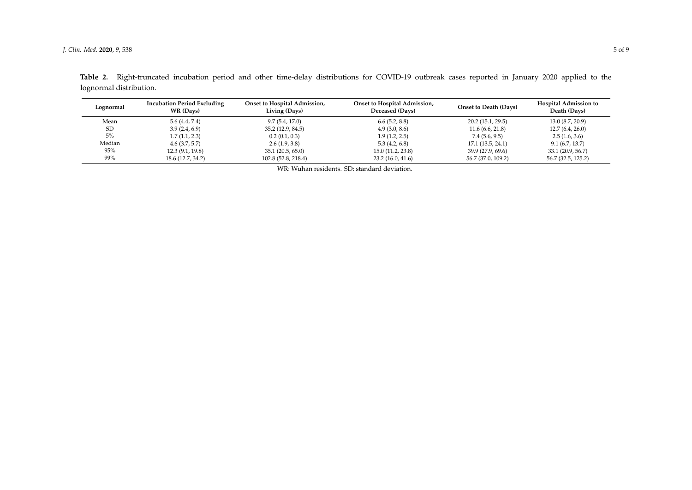<span id="page-4-0"></span>

| Lognormal     | <b>Incubation Period Excluding</b><br>WR (Days) | Onset to Hospital Admission,<br>Living (Days) | Onset to Hospital Admission,<br>Deceased (Days) | <b>Onset to Death (Days)</b> | <b>Hospital Admission to</b><br>Death (Days) |
|---------------|-------------------------------------------------|-----------------------------------------------|-------------------------------------------------|------------------------------|----------------------------------------------|
| Mean          | 5.6 (4.4, 7.4)                                  | 9.7(5.4, 17.0)                                | 6.6(5.2, 8.8)                                   | 20.2(15.1, 29.5)             | 13.0 (8.7, 20.9)                             |
| <sub>SD</sub> | 3.9(2.4, 6.9)                                   | 35.2 (12.9, 84.5)                             | 4.9(3.0, 8.6)                                   | 11.6(6.6, 21.8)              | 12.7(6.4, 26.0)                              |
| 5%            | 1.7(1.1, 2.3)                                   | 0.2(0.1, 0.3)                                 | 1.9(1.2, 2.5)                                   | 7.4 (5.6, 9.5)               | 2.5(1.6, 3.6)                                |
| Median        | 4.6(3.7, 5.7)                                   | 2.6(1.9, 3.8)                                 | 5.3(4.2, 6.8)                                   | 17.1(13.5, 24.1)             | 9.1(6.7, 13.7)                               |
| 95%           | 12.3(9.1, 19.8)                                 | 35.1 (20.5, 65.0)                             | 15.0 (11.2, 23.8)                               | 39.9 (27.9, 69.6)            | 33.1 (20.9, 56.7)                            |
| 99%           | 18.6 (12.7, 34.2)                               | 102.8 (52.8, 218.4)                           | 23.2(16.0, 41.6)                                | 56.7 (37.0, 109.2)           | 56.7 (32.5, 125.2)                           |

**Table 2.** Right-truncated incubation period and other time-delay distributions for COVID-19 outbreak cases reported in January 2020 applied to the lognormal distribution.

WR: Wuhan residents. SD: standard deviation.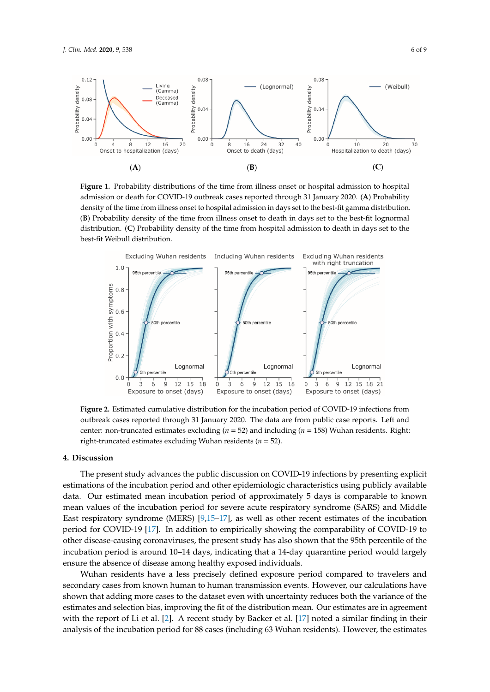<span id="page-5-0"></span>

best-fit Weibull distribution. Figure 1. Probability distributions of the time from illness onset or hospital admission to hospital admission or death for COVID-19 outbreak cases reported through 31 January 2020. (A) Probability density of the time from illness onset to hospital admission in days set to the best-fit gamma distribution. (B) Probability density of the time from illness onset to death in days set to the best-fit lognormal distribution. (C) Probability density of the time from hospital admission to death in days set to the

<span id="page-5-1"></span>

**Figure 2.** Estimated cumulative distribution for the incubation period of COVID-19 infections from **Figure 2.** Estimated cumulative distribution for the incubation period of COVID-19 infections from outbreak cases reported through 31 January 2020. The data are from public case reports. Left and outbreak cases reported through 31 January 2020. The data are from public case reports. Left and center: non-truncated estimates excluding ( $n = 52$ ) and including ( $n = 158$ ) Wuhan residents. Right: right-truncated estimates excluding Wuhan residents (*n* = 52). right-truncated estimates excluding Wuhan residents (*n* = 52).

# **4. Discussion 4. Discussion**

estimations of the incubation period and other epidemiologic characteristics using publicly available data. Our estimated mean incubation period of approximately 5 days is comparable to known mean values of the incubation period for severe acute respiratory syndrome (SARS) and Middle East respiratory syndrome (MERS) [\[9](#page-7-8)[,15](#page-7-14)-17], as well as other recent estimates of the incubation other disease-causing coronaviruses, the present study has also shown that the 95th percentile of the incubation period is around 10–14 days, indicating that a 14-day quarantine period would largely ensure the absence of disease among healthy exposed individuals. The present study advances the public discussion on COVID-19 infections by presenting explicit period for COVID-19 [\[17\]](#page-8-0). In addition to empirically showing the comparability of COVID-19 to

Wuhan residents have a less precisely defined exposure period compared to travelers and secondary cases from known human to human transmission events. However, our calculations have shown that adding more cases to the dataset even with uncertainty reduces both the variance of the with the report of Li et al. [\[2\]](#page-7-1). A recent study by Backer et al. [\[17\]](#page-8-0) noted a similar finding in their  $\epsilon$  constant to  $\epsilon$  other discrete causing coronavirus experimental  $\epsilon$  of  $\epsilon$  of  $\epsilon$  of  $\epsilon$  of  $\epsilon$  of  $\epsilon$  of  $\epsilon$  of  $\epsilon$  of  $\epsilon$  of  $\epsilon$  of  $\epsilon$  of  $\epsilon$  of  $\epsilon$  of  $\epsilon$  of  $\epsilon$  of  $\epsilon$  of  $\epsilon$  of  $\epsilon$  of  $\epsilon$  of analysis of the incubation period for 88 cases (including 63 Wuhan residents). However, the estimates estimates and selection bias, improving the fit of the distribution mean. Our estimates are in agreement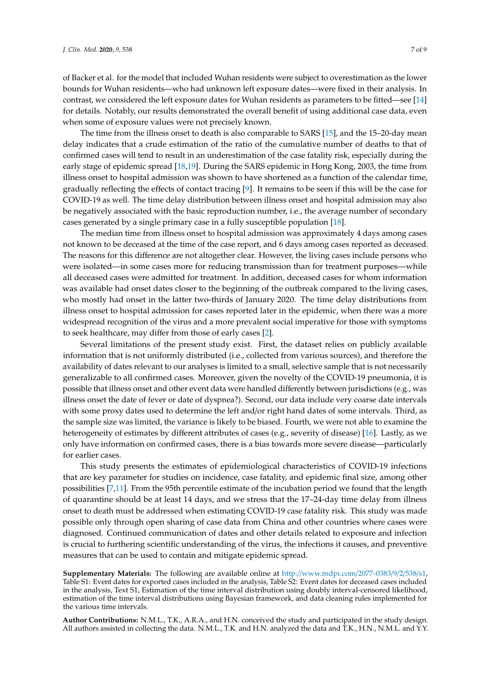of Backer et al. for the model that included Wuhan residents were subject to overestimation as the lower bounds for Wuhan residents—who had unknown left exposure dates—were fixed in their analysis. In contrast, we considered the left exposure dates for Wuhan residents as parameters to be fitted—see [\[14\]](#page-7-13) for details. Notably, our results demonstrated the overall benefit of using additional case data, even when some of exposure values were not precisely known.

The time from the illness onset to death is also comparable to SARS [\[15\]](#page-7-14), and the 15–20-day mean delay indicates that a crude estimation of the ratio of the cumulative number of deaths to that of confirmed cases will tend to result in an underestimation of the case fatality risk, especially during the early stage of epidemic spread [\[18](#page-8-1)[,19\]](#page-8-2). During the SARS epidemic in Hong Kong, 2003, the time from illness onset to hospital admission was shown to have shortened as a function of the calendar time, gradually reflecting the effects of contact tracing [\[9\]](#page-7-8). It remains to be seen if this will be the case for COVID-19 as well. The time delay distribution between illness onset and hospital admission may also be negatively associated with the basic reproduction number, i.e., the average number of secondary cases generated by a single primary case in a fully susceptible population [\[18\]](#page-8-1).

The median time from illness onset to hospital admission was approximately 4 days among cases not known to be deceased at the time of the case report, and 6 days among cases reported as deceased. The reasons for this difference are not altogether clear. However, the living cases include persons who were isolated—in some cases more for reducing transmission than for treatment purposes—while all deceased cases were admitted for treatment. In addition, deceased cases for whom information was available had onset dates closer to the beginning of the outbreak compared to the living cases, who mostly had onset in the latter two-thirds of January 2020. The time delay distributions from illness onset to hospital admission for cases reported later in the epidemic, when there was a more widespread recognition of the virus and a more prevalent social imperative for those with symptoms to seek healthcare, may differ from those of early cases [\[2\]](#page-7-1).

Several limitations of the present study exist. First, the dataset relies on publicly available information that is not uniformly distributed (i.e., collected from various sources), and therefore the availability of dates relevant to our analyses is limited to a small, selective sample that is not necessarily generalizable to all confirmed cases. Moreover, given the novelty of the COVID-19 pneumonia, it is possible that illness onset and other event data were handled differently between jurisdictions (e.g., was illness onset the date of fever or date of dyspnea?). Second, our data include very coarse date intervals with some proxy dates used to determine the left and/or right hand dates of some intervals. Third, as the sample size was limited, the variance is likely to be biased. Fourth, we were not able to examine the heterogeneity of estimates by different attributes of cases (e.g., severity of disease) [\[16\]](#page-7-15). Lastly, as we only have information on confirmed cases, there is a bias towards more severe disease—particularly for earlier cases.

This study presents the estimates of epidemiological characteristics of COVID-19 infections that are key parameter for studies on incidence, case fatality, and epidemic final size, among other possibilities [\[7](#page-7-6)[,11\]](#page-7-10). From the 95th percentile estimate of the incubation period we found that the length of quarantine should be at least 14 days, and we stress that the 17–24-day time delay from illness onset to death must be addressed when estimating COVID-19 case fatality risk. This study was made possible only through open sharing of case data from China and other countries where cases were diagnosed. Continued communication of dates and other details related to exposure and infection is crucial to furthering scientific understanding of the virus, the infections it causes, and preventive measures that can be used to contain and mitigate epidemic spread.

**Supplementary Materials:** The following are available online at http://[www.mdpi.com](http://www.mdpi.com/2077-0383/9/2/538/s1)/2077-0383/9/2/538/s1, Table S1: Event dates for exported cases included in the analysis, Table S2: Event dates for deceased cases included in the analysis, Text S1, Estimation of the time interval distribution using doubly interval-censored likelihood, estimation of the time interval distributions using Bayesian framework, and data cleaning rules implemented for the various time intervals.

**Author Contributions:** N.M.L., T.K., A.R.A., and H.N. conceived the study and participated in the study design. All authors assisted in collecting the data. N.M.L., T.K. and H.N. analyzed the data and T.K., H.N., N.M.L. and Y.Y.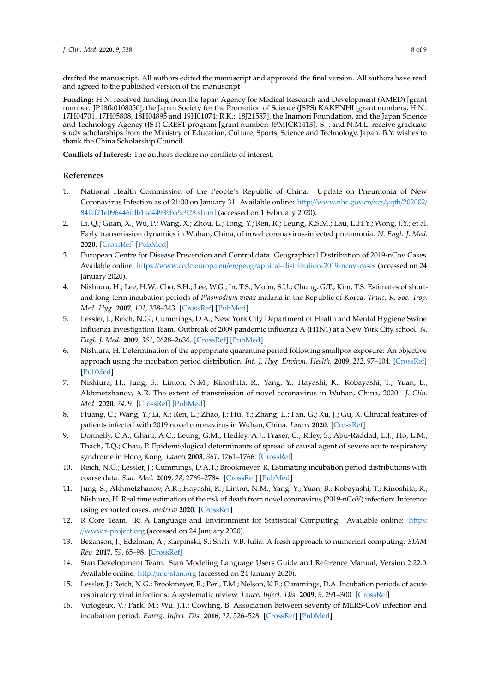drafted the manuscript. All authors edited the manuscript and approved the final version. All authors have read and agreed to the published version of the manuscript

**Funding:** H.N. received funding from the Japan Agency for Medical Research and Development (AMED) [grant number: JP18fk0108050]; the Japan Society for the Promotion of Science (JSPS) KAKENHI [grant numbers, H.N.: 17H04701, 17H05808, 18H04895 and 19H01074; R.K.: 18J21587], the Inamori Foundation, and the Japan Science and Technology Agency (JST) CREST program [grant number: JPMJCR1413]. S.J. and N.M.L. receive graduate study scholarships from the Ministry of Education, Culture, Sports, Science and Technology, Japan. B.Y. wishes to thank the China Scholarship Council.

**Conflicts of Interest:** The authors declare no conflicts of interest.

## **References**

- <span id="page-7-0"></span>1. National Health Commission of the People's Republic of China. Update on Pneumonia of New Coronavirus Infection as of 21:00 on January 31. Available online: http://[www.nhc.gov.cn](http://www.nhc.gov.cn/xcs/yqtb/202002/84faf71e096446fdb1ae44939ba5c528.shtml)/xcs/yqtb/202002/ [84faf71e096446fdb1ae44939ba5c528.shtml](http://www.nhc.gov.cn/xcs/yqtb/202002/84faf71e096446fdb1ae44939ba5c528.shtml) (accessed on 1 February 2020).
- <span id="page-7-1"></span>2. Li, Q.; Guan, X.; Wu, P.; Wang, X.; Zhou, L.; Tong, Y.; Ren, R.; Leung, K.S.M.; Lau, E.H.Y.; Wong, J.Y.; et al. Early transmission dynamics in Wuhan, China, of novel coronavirus-infected pneumonia. *N. Engl. J. Med.* **2020**. [\[CrossRef\]](http://dx.doi.org/10.1056/NEJMoa2001316) [\[PubMed\]](http://www.ncbi.nlm.nih.gov/pubmed/31995857)
- <span id="page-7-2"></span>3. European Centre for Disease Prevention and Control data. Geographical Distribution of 2019-nCov Cases. Available online: https://www.ecdc.europa.eu/en/[geographical-distribution-2019-ncov-cases](https://www.ecdc.europa.eu/en/geographical-distribution-2019-ncov-cases) (accessed on 24 January 2020).
- <span id="page-7-3"></span>4. Nishiura, H.; Lee, H.W.; Cho, S.H.; Lee, W.G.; In, T.S.; Moon, S.U.; Chung, G.T.; Kim, T.S. Estimates of shortand long-term incubation periods of *Plasmodium vivax* malaria in the Republic of Korea. *Trans. R. Soc. Trop. Med. Hyg.* **2007**, *101*, 338–343. [\[CrossRef\]](http://dx.doi.org/10.1016/j.trstmh.2006.11.002) [\[PubMed\]](http://www.ncbi.nlm.nih.gov/pubmed/17204297)
- <span id="page-7-4"></span>5. Lessler, J.; Reich, N.G.; Cummings, D.A.; New York City Department of Health and Mental Hygiene Swine Influenza Investigation Team. Outbreak of 2009 pandemic influenza A (H1N1) at a New York City school. *N. Engl. J. Med.* **2009**, *361*, 2628–2636. [\[CrossRef\]](http://dx.doi.org/10.1056/NEJMoa0906089) [\[PubMed\]](http://www.ncbi.nlm.nih.gov/pubmed/20042754)
- <span id="page-7-5"></span>6. Nishiura, H. Determination of the appropriate quarantine period following smallpox exposure: An objective approach using the incubation period distribution. *Int. J. Hyg. Environ. Health.* **2009**, *212*, 97–104. [\[CrossRef\]](http://dx.doi.org/10.1016/j.ijheh.2007.10.003) [\[PubMed\]](http://www.ncbi.nlm.nih.gov/pubmed/18178524)
- <span id="page-7-6"></span>7. Nishiura, H.; Jung, S.; Linton, N.M.; Kinoshita, R.; Yang, Y.; Hayashi, K.; Kobayashi, T.; Yuan, B.; Akhmetzhanov, A.R. The extent of transmission of novel coronavirus in Wuhan, China, 2020. *J. Clin. Med.* **2020**, *24*, 9. [\[CrossRef\]](http://dx.doi.org/10.3390/jcm9020330) [\[PubMed\]](http://www.ncbi.nlm.nih.gov/pubmed/31991628)
- <span id="page-7-7"></span>8. Huang, C.; Wang, Y.; Li, X.; Ren, L.; Zhao, J.; Hu, Y.; Zhang, L.; Fan, G.; Xu, J.; Gu, X. Clinical features of patients infected with 2019 novel coronavirus in Wuhan, China. *Lancet* **2020**. [\[CrossRef\]](http://dx.doi.org/10.1016/S0140-6736(20)30183-5)
- <span id="page-7-8"></span>9. Donnelly, C.A.; Ghani, A.C.; Leung, G.M.; Hedley, A.J.; Fraser, C.; Riley, S.; Abu-Raddad, L.J.; Ho, L.M.; Thach, T.Q.; Chau, P. Epidemiological determinants of spread of causal agent of severe acute respiratory syndrome in Hong Kong. *Lancet* **2003**, *361*, 1761–1766. [\[CrossRef\]](http://dx.doi.org/10.1016/S0140-6736(03)13410-1)
- <span id="page-7-9"></span>10. Reich, N.G.; Lessler, J.; Cummings, D.A.T.; Brookmeyer, R. Estimating incubation period distributions with coarse data. *Stat. Med.* **2009**, *28*, 2769–2784. [\[CrossRef\]](http://dx.doi.org/10.1002/sim.3659) [\[PubMed\]](http://www.ncbi.nlm.nih.gov/pubmed/19598148)
- <span id="page-7-10"></span>11. Jung, S.; Akhmetzhanov, A.R.; Hayashi, K.; Linton, N.M.; Yang, Y.; Yuan, B.; Kobayashi, T.; Kinoshita, R.; Nishiura, H. Real time estimation of the risk of death from novel coronavirus (2019-nCoV) infection: Inference using exported cases. *medrxiv* **2020**. [\[CrossRef\]](http://dx.doi.org/10.1101/2020.01.29.20019547v1)
- <span id="page-7-11"></span>12. R Core Team. R: A Language and Environment for Statistical Computing. Available online: [https:](https://www.r-project.org) //[www.r-project.org](https://www.r-project.org) (accessed on 24 January 2020).
- <span id="page-7-12"></span>13. Bezanson, J.; Edelman, A.; Karpinski, S.; Shah, V.B. Julia: A fresh approach to numerical computing. *SIAM Rev.* **2017**, *59*, 65–98. [\[CrossRef\]](http://dx.doi.org/10.1137/141000671)
- <span id="page-7-13"></span>14. Stan Development Team. Stan Modeling Language Users Guide and Reference Manual, Version 2.22.0. Available online: http://[mc-stan.org](http://mc-stan.org) (accessed on 24 January 2020).
- <span id="page-7-14"></span>15. Lessler, J.; Reich, N.G.; Brookmeyer, R.; Perl, T.M.; Nelson, K.E.; Cummings, D.A. Incubation periods of acute respiratory viral infections: A systematic review. *Lancet Infect. Dis.* **2009**, *9*, 291–300. [\[CrossRef\]](http://dx.doi.org/10.1016/S1473-3099(09)70069-6)
- <span id="page-7-15"></span>16. Virlogeux, V.; Park, M.; Wu, J.T.; Cowling, B. Association between severity of MERS-CoV infection and incubation period. *Emerg. Infect. Dis.* **2016**, *22*, 526–528. [\[CrossRef\]](http://dx.doi.org/10.3201/eid2203.151437) [\[PubMed\]](http://www.ncbi.nlm.nih.gov/pubmed/26890291)